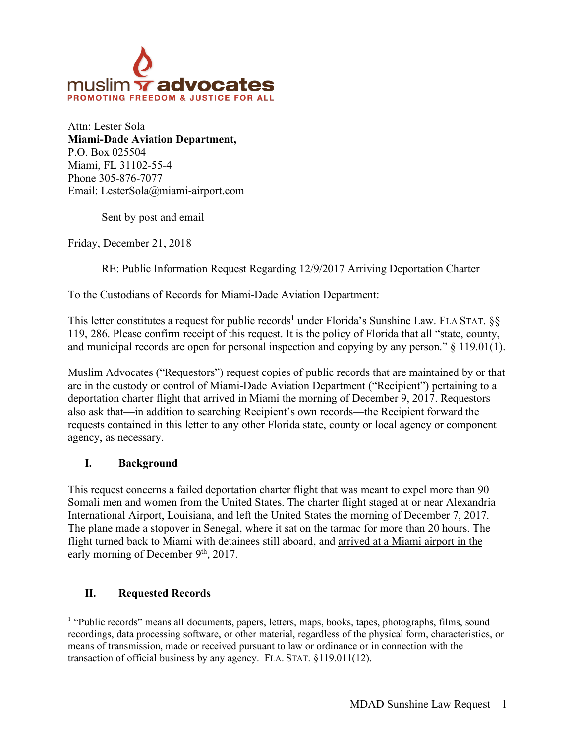

Attn: Lester Sola **Miami-Dade Aviation Department,**  P.O. Box 025504 Miami, FL 31102-55-4 Phone 305-876-7077 Email: LesterSola@miami-airport.com

Sent by post and email

Friday, December 21, 2018

### RE: Public Information Request Regarding 12/9/2017 Arriving Deportation Charter

To the Custodians of Records for Miami-Dade Aviation Department:

This letter constitutes a request for public records<sup>1</sup> under Florida's Sunshine Law. FLA STAT.  $\S$ § 119, 286. Please confirm receipt of this request. It is the policy of Florida that all "state, county, and municipal records are open for personal inspection and copying by any person." § 119.01(1).

Muslim Advocates ("Requestors") request copies of public records that are maintained by or that are in the custody or control of Miami-Dade Aviation Department ("Recipient") pertaining to a deportation charter flight that arrived in Miami the morning of December 9, 2017. Requestors also ask that—in addition to searching Recipient's own records—the Recipient forward the requests contained in this letter to any other Florida state, county or local agency or component agency, as necessary.

### **I. Background**

This request concerns a failed deportation charter flight that was meant to expel more than 90 Somali men and women from the United States. The charter flight staged at or near Alexandria International Airport, Louisiana, and left the United States the morning of December 7, 2017. The plane made a stopover in Senegal, where it sat on the tarmac for more than 20 hours. The flight turned back to Miami with detainees still aboard, and arrived at a Miami airport in the early morning of December 9<sup>th</sup>, 2017.

### **II. Requested Records**

<sup>&</sup>lt;sup>1</sup> "Public records" means all documents, papers, letters, maps, books, tapes, photographs, films, sound recordings, data processing software, or other material, regardless of the physical form, characteristics, or means of transmission, made or received pursuant to law or ordinance or in connection with the transaction of official business by any agency. FLA. STAT. §119.011(12).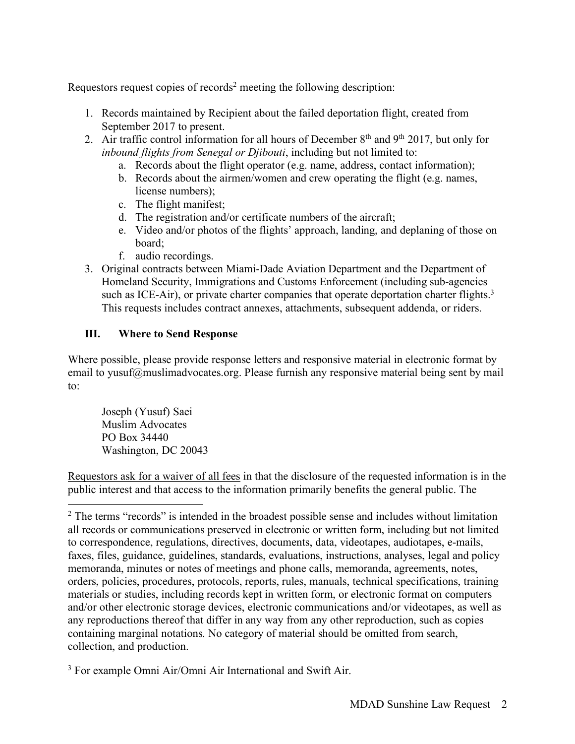Requestors request copies of records<sup>2</sup> meeting the following description:

- 1. Records maintained by Recipient about the failed deportation flight, created from September 2017 to present.
- 2. Air traffic control information for all hours of December 8th and 9th 2017, but only for *inbound flights from Senegal or Djibouti*, including but not limited to:
	- a. Records about the flight operator (e.g. name, address, contact information);
	- b. Records about the airmen/women and crew operating the flight (e.g. names, license numbers);
	- c. The flight manifest;
	- d. The registration and/or certificate numbers of the aircraft;
	- e. Video and/or photos of the flights' approach, landing, and deplaning of those on board;
	- f. audio recordings.
- 3. Original contracts between Miami-Dade Aviation Department and the Department of Homeland Security, Immigrations and Customs Enforcement (including sub-agencies such as ICE-Air), or private charter companies that operate deportation charter flights.<sup>3</sup> This requests includes contract annexes, attachments, subsequent addenda, or riders.

# **III. Where to Send Response**

Where possible, please provide response letters and responsive material in electronic format by email to yusuf@muslimadvocates.org. Please furnish any responsive material being sent by mail to:

Joseph (Yusuf) Saei Muslim Advocates PO Box 34440 Washington, DC 20043

Requestors ask for a waiver of all fees in that the disclosure of the requested information is in the public interest and that access to the information primarily benefits the general public. The

<sup>&</sup>lt;sup>2</sup> The terms "records" is intended in the broadest possible sense and includes without limitation all records or communications preserved in electronic or written form, including but not limited to correspondence, regulations, directives, documents, data, videotapes, audiotapes, e-mails, faxes, files, guidance, guidelines, standards, evaluations, instructions, analyses, legal and policy memoranda, minutes or notes of meetings and phone calls, memoranda, agreements, notes, orders, policies, procedures, protocols, reports, rules, manuals, technical specifications, training materials or studies, including records kept in written form, or electronic format on computers and/or other electronic storage devices, electronic communications and/or videotapes, as well as any reproductions thereof that differ in any way from any other reproduction, such as copies containing marginal notations. No category of material should be omitted from search, collection, and production.

<sup>3</sup> For example Omni Air/Omni Air International and Swift Air.